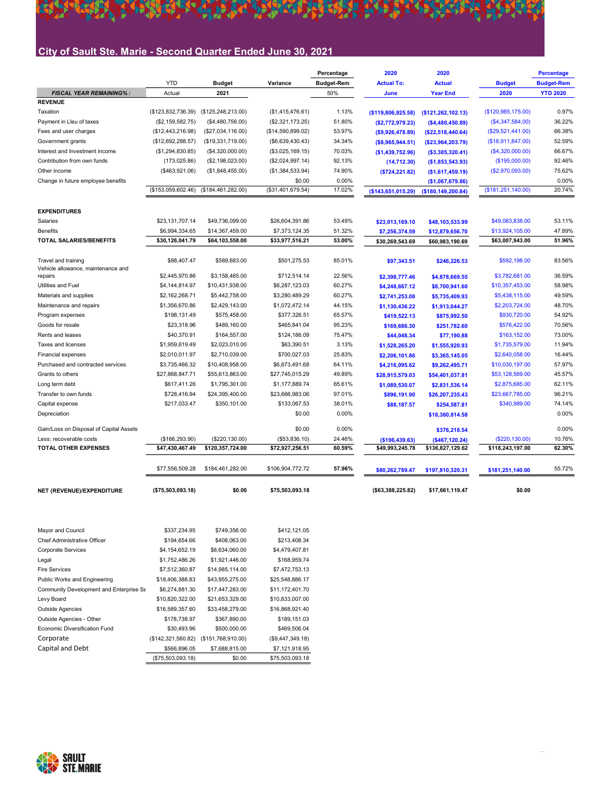#### 林 茶杯 **A**

## City of Sault Ste. Marie - Second Quarter Ended June 30, 2021

|                                                           |                    |                      |                   | Percentage        | 2020               | 2020               |                      | <b>Percentage</b> |
|-----------------------------------------------------------|--------------------|----------------------|-------------------|-------------------|--------------------|--------------------|----------------------|-------------------|
|                                                           | <b>YTD</b>         | <b>Budget</b>        | Variance          | <b>Budget-Rem</b> | <b>Actual To:</b>  | <b>Actual</b>      | <b>Budget</b>        | <b>Budget-Rem</b> |
| <b>FISCAL YEAR REMAINING%:</b>                            | Actual             | 2021                 |                   | 50%               | June               | <b>Year End</b>    | 2020                 | <b>YTD 2020</b>   |
| <b>REVENUE</b>                                            |                    |                      |                   |                   |                    |                    |                      |                   |
| Taxation                                                  | (\$123,832,736.39) | (\$125, 248, 213.00) | (\$1,415,476.61)  | 1.13%             | (\$119,806,925.58) | (\$121,262,102.13) | (\$120,985,175.00)   | 0.97%             |
| Payment in Lleu of taxes                                  | (\$2,159,582.75)   | (\$4,480,756.00)     | (\$2,321,173.25)  | 51.80%            | (\$2,772,979.23)   | ( \$4,480,450.89)  | (\$4,347,584.00)     | 36.22%            |
| Fees and user charges                                     | (\$12,443,216.98)  | (\$27,034,116.00)    | (\$14,590,899.02) | 53.97%            | (\$9,926,478.89)   | ( \$22,518,440.64) | (\$29,521,441.00)    | 66.38%            |
| Government grants                                         | (\$12,692,288.57)  | (\$19,331,719.00)    | (\$6,639,430.43)  | 34.34%            | ( \$8,965,944.51)  | ( \$23,964,203.79) | (\$18,911,847.00)    | 52.59%            |
| Interest and Investment income                            | (\$1,294,830.85)   | (\$4,320,000.00)     | (\$3,025,169.15)  | 70.03%            | (\$1,439,752.96)   | ( \$3,385,320.41)  | (\$4,320,000.00)     | 66.67%            |
| Contribution from own funds                               | (173, 025.86)      | (\$2,198,023.00)     | (\$2,024,997.14)  | 92.13%            | (14,712.30)        | (\$1,853,543.93)   | (\$195,000.00)       | 92.46%            |
| Other income                                              | (\$463,921.06)     | (\$1,848,455.00)     | (\$1,384,533.94)  | 74.90%            | ( \$724, 221.82)   | (\$1,617,459.19)   | (\$2,970,093.00)     | 75.62%            |
| Change in future employee benefits                        |                    |                      | \$0.00            | 0.00%             |                    | (\$1,067,679.86)   |                      | 0.00%             |
|                                                           | (\$153,059,602.46) | (\$184,461,282.00)   | (\$31,401,679.54) | 17.02%            | (\$143,651,015.29) | (\$180,149,200.84) | (\$181, 251, 140.00) | 20.74%            |
| <b>EXPENDITURES</b>                                       |                    |                      |                   |                   |                    |                    |                      |                   |
| Salaries                                                  | \$23,131,707.14    | \$49,736,099.00      | \$26,604,391.86   | 53.49%            |                    |                    | \$49,083,838.00      | 53.11%            |
| <b>Benefits</b>                                           | \$6,994,334.65     | \$14,367,459.00      | \$7,373,124.35    | 51.32%            | \$23,013,169.10    | \$48,103,533.99    | \$13,924,105.00      | 47.89%            |
| <b>TOTAL SALARIES/BENEFITS</b>                            |                    |                      |                   |                   | \$7,256,374.59     | \$12,879,656.70    |                      |                   |
|                                                           | \$30,126,041.79    | \$64,103,558.00      | \$33,977,516.21   | 53.00%            | \$30,269,543.69    | \$60,983,190.69    | \$63,007,943.00      | 51.96%            |
| Travel and training<br>Vehicle allowance, maintenance and | \$88,407.47        | \$589,683.00         | \$501,275.53      | 85.01%            | \$97,343.51        | \$246,226.53       | \$592,198.00         | 83.56%            |
| repairs                                                   | \$2,445,970.86     | \$3,158,485.00       | \$712,514.14      | 22.56%            | \$2,398,777.46     | \$4,878,669.55     | \$3,782,681.00       | 36.59%            |
| Utilities and Fuel                                        | \$4,144,814.97     | \$10,431,938.00      | \$6,287,123.03    | 60.27%            | \$4,248,667.12     | \$8,700,941.60     | \$10,357,453.00      | 58.98%            |
| Materials and supplies                                    | \$2,162,268.71     | \$5,442,758.00       | \$3,280,489.29    | 60.27%            | \$2,741,253.08     | \$5,735,409.93     | \$5,438,115.00       | 49.59%            |
| Maintenance and repairs                                   | \$1,356,670.86     | \$2,429,143.00       | \$1,072,472.14    | 44.15%            | \$1,130,436.22     | \$1,913,044.27     | \$2,203,724.00       | 48.70%            |
| Program expenses                                          | \$198,131.49       | \$575,458.00         | \$377,326.51      | 65.57%            | \$419,522.13       | \$875,992.50       | \$930,720.00         | 54.92%            |
| Goods for resale                                          | \$23,318.96        | \$489,160.00         | \$465.841.04      | 95.23%            | \$169,686.30       | \$251,782.60       | \$576,422.00         | 70.56%            |
| Rents and leases                                          | \$40,370.91        | \$164,557.00         | \$124,186.09      | 75.47%            | \$44,048.34        | \$77,190.88        | \$163,152.00         | 73.00%            |
| Taxes and licenses                                        | \$1,959,619.49     | \$2,023,010.00       | \$63,390.51       | 3.13%             | \$1,528,265.20     | \$1,555,920.93     | \$1,735,579.00       | 11.94%            |
| <b>Financial expenses</b>                                 | \$2,010,011.97     | \$2,710,039.00       | \$700,027.03      | 25.83%            | \$2,206,101.86     | \$3,365,145.05     | \$2,640,058.00       | 16.44%            |
| Purchased and contracted services                         | \$3,735,466.32     | \$10,408,958.00      | \$6,673,491.68    | 64.11%            | \$4,216,095.62     | \$9,262,495.71     | \$10,030,197.00      | 57.97%            |
| Grants to others                                          | \$27,868,847.71    | \$55,613,863.00      | \$27,745,015.29   | 49.89%            | \$28,915,579.03    | \$54,401,037.81    | \$53,128,569.00      | 45.57%            |
| Long term debt                                            | \$617,411.26       | \$1,795,301.00       | \$1,177,889.74    | 65.61%            | \$1,089,530.07     | \$2,831,536.14     | \$2,875,685.00       | 62.11%            |
| Transfer to own funds                                     | \$728,416.94       | \$24,395,400.00      | \$23,666,983.06   | 97.01%            | \$896,191.90       | \$26,207,235.43    | \$23,667,785.00      | 96.21%            |
| Capital expense                                           | \$217,033.47       | \$350,101.00         | \$133,067.53      | 38.01%            | \$88,187.57        | \$254,587.81       | \$340,989.00         | 74.14%            |
| Depreciation                                              |                    |                      | \$0.00            | 0.00%             |                    | \$16,360,814.58    |                      | 0.00%             |
| Gain/Loss on Disposal of Capital Assets                   |                    |                      | \$0.00            | 0.00%             |                    | \$376,218.54       |                      | 0.00%             |
| Less: recoverable costs                                   | (\$166, 293.90)    | (\$220, 130.00)      | (\$53,836.10)     | 24.46%            | (\$196,439.63)     | (\$467, 120.24)    | (\$220, 130.00)      | 10.76%            |
| <b>TOTAL OTHER EXPENSES</b>                               | \$47,430,467.49    | \$120,357,724.00     | \$72,927,256.51   | 60.59%            | \$49,993,245.78    | \$136,827,129.62   | \$118,243,197.00     | 62.30%            |
|                                                           | \$77,556,509.28    | \$184,461,282.00     | \$106,904,772.72  | 57.96%            | \$80,262,789.47    | \$197,810,320.31   | \$181,251,140.00     | 55.72%            |
| NET (REVENUE)/EXPENDITURE                                 | ( \$75,503,093.18) | \$0.00               | \$75,503,093.18   |                   | ( \$63,388,225.82) | \$17,661,119.47    | \$0.00               |                   |

| Mayor and Council                       | \$337,234.95       | \$749,356.00       | \$412,121.05     |
|-----------------------------------------|--------------------|--------------------|------------------|
| Chief Administrative Officer            | \$194,654.66       | \$408,063.00       | \$213,408.34     |
| Corporate Services                      | \$4,154,652.19     | \$8,634,060.00     | \$4,479,407.81   |
| Legal                                   | \$1,752,486.26     | \$1,921,446.00     | \$168,959.74     |
| Fire Services                           | \$7,512,360.87     | \$14,985,114.00    | \$7,472,753.13   |
| Public Works and Engineering            | \$18,406,388.83    | \$43,955,275.00    | \$25,548,886.17  |
| Community Development and Enterprise Se | \$6,274,881.30     | \$17,447,283.00    | \$11,172,401.70  |
| Levy Board                              | \$10,820,322.00    | \$21,653,329.00    | \$10,833,007.00  |
| Outside Agencies                        | \$16,589,357.60    | \$33,458,279.00    | \$16,868,921.40  |
| Outside Agencies - Other                | \$178,738.97       | \$367,890.00       | \$189,151.03     |
| Economic Diversification Fund           | \$30,493.96        | \$500,000.00       | \$469,506.04     |
| Corporate                               | (\$142,321,560.82) | (\$151,768,910.00) | (\$9,447,349.18) |
| Capital and Debt                        | \$566,896.05       | \$7,688,815.00     | \$7,121,918.95   |
|                                         | (\$75,503,093.18)  | \$0.00             | \$75,503,093.18  |

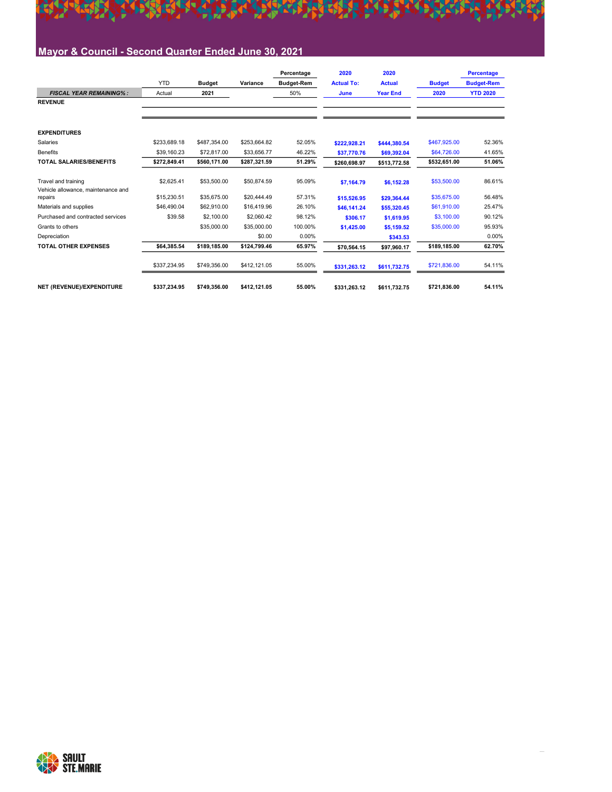

## Mayor & Council - Second Quarter Ended June 30, 2021

|                                                           |              |               |              | Percentage        | 2020              | 2020            |               | <b>Percentage</b> |
|-----------------------------------------------------------|--------------|---------------|--------------|-------------------|-------------------|-----------------|---------------|-------------------|
|                                                           | <b>YTD</b>   | <b>Budget</b> | Variance     | <b>Budget-Rem</b> | <b>Actual To:</b> | <b>Actual</b>   | <b>Budget</b> | <b>Budget-Rem</b> |
| <b>FISCAL YEAR REMAINING%:</b>                            | Actual       | 2021          |              | 50%               | June              | <b>Year End</b> | 2020          | <b>YTD 2020</b>   |
| <b>REVENUE</b>                                            |              |               |              |                   |                   |                 |               |                   |
|                                                           |              |               |              |                   |                   |                 |               |                   |
| <b>EXPENDITURES</b>                                       |              |               |              |                   |                   |                 |               |                   |
| Salaries                                                  | \$233,689.18 | \$487.354.00  | \$253.664.82 | 52.05%            | \$222.928.21      | \$444.380.54    | \$467,925.00  | 52.36%            |
| <b>Benefits</b>                                           | \$39.160.23  | \$72,817.00   | \$33,656.77  | 46.22%            | \$37,770.76       | \$69,392.04     | \$64,726.00   | 41.65%            |
| <b>TOTAL SALARIES/BENEFITS</b>                            | \$272.849.41 | \$560,171.00  | \$287,321.59 | 51.29%            | \$260,698.97      | \$513,772.58    | \$532,651.00  | 51.06%            |
| Travel and training<br>Vehicle allowance, maintenance and | \$2,625.41   | \$53,500.00   | \$50,874.59  | 95.09%            | \$7,164.79        | \$6,152.28      | \$53,500.00   | 86.61%            |
| repairs                                                   | \$15,230.51  | \$35,675.00   | \$20,444.49  | 57.31%            | \$15,526.95       | \$29,364.44     | \$35,675.00   | 56.48%            |
| Materials and supplies                                    | \$46,490.04  | \$62,910.00   | \$16,419.96  | 26.10%            | \$46.141.24       | \$55.320.45     | \$61,910.00   | 25.47%            |
| Purchased and contracted services                         | \$39.58      | \$2,100.00    | \$2,060.42   | 98.12%            | \$306.17          | \$1,619.95      | \$3,100.00    | 90.12%            |
| Grants to others                                          |              | \$35,000.00   | \$35,000.00  | 100.00%           | \$1,425.00        | \$5.159.52      | \$35,000.00   | 95.93%            |
| Depreciation                                              |              |               | \$0.00       | 0.00%             |                   | \$343.53        |               | 0.00%             |
| <b>TOTAL OTHER EXPENSES</b>                               | \$64.385.54  | \$189,185.00  | \$124,799.46 | 65.97%            | \$70.564.15       | \$97,960.17     | \$189,185.00  | 62.70%            |
|                                                           | \$337,234.95 | \$749,356.00  | \$412,121.05 | 55.00%            | \$331,263.12      | \$611,732.75    | \$721,836.00  | 54.11%            |
| NET (REVENUE)/EXPENDITURE                                 | \$337.234.95 | \$749.356.00  | \$412.121.05 | 55.00%            | \$331.263.12      | \$611.732.75    | \$721.836.00  | 54.11%            |

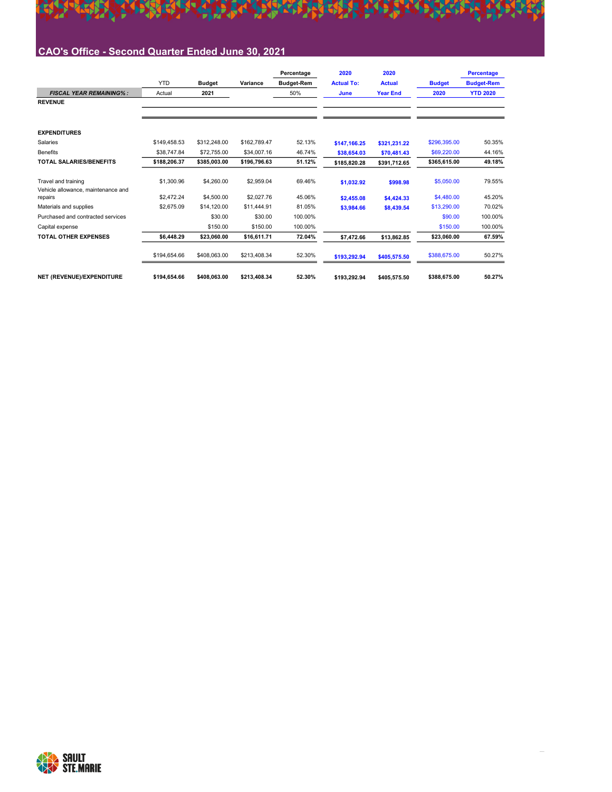

## CAO's Office - Second Quarter Ended June 30, 2021

|                                               |              |               |              | Percentage        | 2020              | 2020            |               | <b>Percentage</b> |
|-----------------------------------------------|--------------|---------------|--------------|-------------------|-------------------|-----------------|---------------|-------------------|
|                                               | <b>YTD</b>   | <b>Budget</b> | Variance     | <b>Budget-Rem</b> | <b>Actual To:</b> | <b>Actual</b>   | <b>Budget</b> | <b>Budget-Rem</b> |
| <b>FISCAL YEAR REMAINING%:</b>                | Actual       | 2021          |              | 50%               | June              | <b>Year End</b> | 2020          | <b>YTD 2020</b>   |
| <b>REVENUE</b>                                |              |               |              |                   |                   |                 |               |                   |
|                                               |              |               |              |                   |                   |                 |               |                   |
| <b>EXPENDITURES</b>                           |              |               |              |                   |                   |                 |               |                   |
| Salaries                                      | \$149.458.53 | \$312,248.00  | \$162.789.47 | 52.13%            | \$147.166.25      | \$321,231.22    | \$296,395.00  | 50.35%            |
| <b>Benefits</b>                               | \$38,747.84  | \$72,755.00   | \$34,007.16  | 46.74%            | \$38,654.03       | \$70,481.43     | \$69,220.00   | 44.16%            |
| <b>TOTAL SALARIES/BENEFITS</b>                | \$188,206.37 | \$385,003.00  | \$196,796.63 | 51.12%            | \$185,820.28      | \$391,712.65    | \$365,615.00  | 49.18%            |
| Travel and training                           | \$1,300.96   | \$4,260.00    | \$2,959.04   | 69.46%            | \$1.032.92        | \$998.98        | \$5,050.00    | 79.55%            |
| Vehicle allowance, maintenance and<br>repairs | \$2,472.24   | \$4,500.00    | \$2,027.76   | 45.06%            | \$2,455.08        | \$4,424.33      | \$4,480.00    | 45.20%            |
| Materials and supplies                        | \$2,675.09   | \$14,120.00   | \$11,444.91  | 81.05%            | \$3,984.66        | \$8,439.54      | \$13,290.00   | 70.02%            |
| Purchased and contracted services             |              | \$30.00       | \$30.00      | 100.00%           |                   |                 | \$90.00       | 100.00%           |
| Capital expense                               |              | \$150.00      | \$150.00     | 100.00%           |                   |                 | \$150.00      | 100.00%           |
| <b>TOTAL OTHER EXPENSES</b>                   | \$6.448.29   | \$23.060.00   | \$16.611.71  | 72.04%            | \$7,472.66        | \$13.862.85     | \$23,060.00   | 67.59%            |
|                                               | \$194,654.66 | \$408,063.00  | \$213,408.34 | 52.30%            | \$193,292.94      | \$405,575.50    | \$388,675.00  | 50.27%            |
| NET (REVENUE)/EXPENDITURE                     | \$194.654.66 | \$408.063.00  | \$213.408.34 | 52.30%            | \$193.292.94      | \$405,575.50    | \$388.675.00  | 50.27%            |

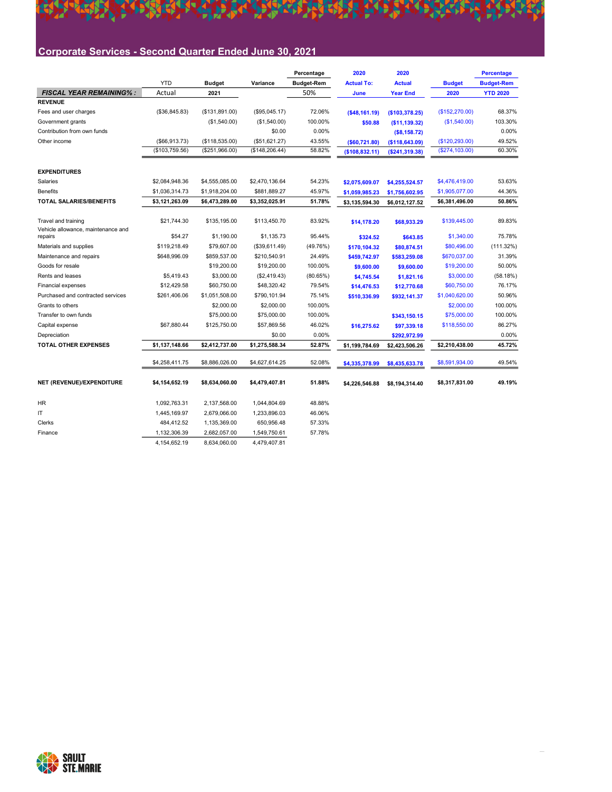## Corporate Services - Second Quarter Ended June 30, 2021

|                                               |                     |                |                 | Percentage        | 2020                       | 2020             |                 | <b>Percentage</b> |
|-----------------------------------------------|---------------------|----------------|-----------------|-------------------|----------------------------|------------------|-----------------|-------------------|
|                                               | <b>YTD</b>          | <b>Budget</b>  | Variance        | <b>Budget-Rem</b> | <b>Actual To:</b>          | <b>Actual</b>    | <b>Budget</b>   | <b>Budget-Rem</b> |
| <b>FISCAL YEAR REMAINING%:</b>                | Actual              | 2021           |                 | 50%               | June                       | <b>Year End</b>  | 2020            | <b>YTD 2020</b>   |
| <b>REVENUE</b>                                |                     |                |                 |                   |                            |                  |                 |                   |
| Fees and user charges                         | (\$36,845.83)       | (\$131,891.00) | (\$95,045.17)   | 72.06%            | ( \$48, 161.19)            | (\$103,378.25)   | (\$152,270.00)  | 68.37%            |
| Government grants                             |                     | (\$1,540.00)   | (\$1,540.00)    | 100.00%           | \$50.88                    | (\$11,139.32)    | (\$1,540.00)    | 103.30%           |
| Contribution from own funds                   |                     |                | \$0.00          | 0.00%             |                            | ( \$8,158.72)    |                 | 0.00%             |
| Other income                                  | $($ \$66,913.73 $)$ | (\$118,535.00) | (\$51,621.27)   | 43.55%            | ( \$60, 721.80)            | ( \$118, 643.09) | (\$120, 293.00) | 49.52%            |
|                                               | (\$103,759.56)      | (\$251,966.00) | (\$148, 206.44) | 58.82%            | (\$108,832.11)             | (\$241,319.38)   | (\$274,103.00)  | 60.30%            |
|                                               |                     |                |                 |                   |                            |                  |                 |                   |
| <b>EXPENDITURES</b>                           |                     |                |                 |                   |                            |                  |                 |                   |
| Salaries                                      | \$2,084,948.36      | \$4,555,085.00 | \$2,470,136.64  | 54.23%            | \$2,075,609.07             | \$4,255,524.57   | \$4,476,419.00  | 53.63%            |
| <b>Benefits</b>                               | \$1,036,314.73      | \$1,918,204.00 | \$881,889.27    | 45.97%            | \$1,059,985.23             | \$1,756,602.95   | \$1,905,077.00  | 44.36%            |
| <b>TOTAL SALARIES/BENEFITS</b>                | \$3,121,263.09      | \$6,473,289.00 | \$3,352,025.91  | 51.78%            | \$3,135,594.30             | \$6,012,127.52   | \$6,381,496.00  | 50.86%            |
| Travel and training                           | \$21,744.30         | \$135,195.00   | \$113,450.70    | 83.92%            | \$14,178.20                | \$68,933.29      | \$139,445.00    | 89.83%            |
| Vehicle allowance, maintenance and<br>repairs | \$54.27             | \$1,190.00     | \$1,135.73      | 95.44%            | \$324.52                   | \$643.85         | \$1,340.00      | 75.78%            |
| Materials and supplies                        | \$119,218.49        | \$79,607.00    | (\$39,611.49)   | (49.76%)          |                            |                  | \$80,496.00     | (111.32%)         |
| Maintenance and repairs                       | \$648,996.09        | \$859,537.00   | \$210,540.91    | 24.49%            | \$170,104.32               | \$80,874.51      | \$670,037.00    | 31.39%            |
| Goods for resale                              |                     | \$19,200.00    | \$19,200.00     | 100.00%           | \$459,742.97<br>\$9,600.00 | \$583,259.08     | \$19,200.00     | 50.00%            |
| Rents and leases                              | \$5,419.43          | \$3,000.00     | (\$2,419.43)    | (80.65%)          |                            | \$9,600.00       | \$3,000.00      | (58.18%)          |
| <b>Financial expenses</b>                     | \$12,429.58         | \$60,750.00    | \$48,320.42     | 79.54%            | \$4,745.54                 | \$1,821.16       | \$60,750.00     | 76.17%            |
| Purchased and contracted services             |                     |                |                 | 75.14%            | \$14,476.53                | \$12,770.68      |                 | 50.96%            |
|                                               | \$261,406.06        | \$1,051,508.00 | \$790,101.94    |                   | \$510,336.99               | \$932,141.37     | \$1,040,620.00  |                   |
| Grants to others                              |                     | \$2,000.00     | \$2,000.00      | 100.00%           |                            |                  | \$2,000.00      | 100.00%           |
| Transfer to own funds                         |                     | \$75,000.00    | \$75,000.00     | 100.00%           |                            | \$343,150.15     | \$75,000.00     | 100.00%           |
| Capital expense                               | \$67,880.44         | \$125,750.00   | \$57,869.56     | 46.02%            | \$16,275.62                | \$97,339.18      | \$118,550.00    | 86.27%            |
| Depreciation                                  |                     |                | \$0.00          | 0.00%             |                            | \$292,972.99     |                 | 0.00%             |
| <b>TOTAL OTHER EXPENSES</b>                   | \$1,137,148.66      | \$2,412,737.00 | \$1,275,588.34  | 52.87%            | \$1,199,784.69             | \$2,423,506.26   | \$2,210,438.00  | 45.72%            |
|                                               | \$4,258,411.75      | \$8,886,026.00 | \$4,627,614.25  | 52.08%            | \$4,335,378.99             | \$8,435,633.78   | \$8,591,934.00  | 49.54%            |
| NET (REVENUE)/EXPENDITURE                     | \$4,154,652.19      | \$8,634,060.00 | \$4,479,407.81  | 51.88%            | \$4,226,546.88             | \$8,194,314.40   | \$8,317,831.00  | 49.19%            |
| HR                                            | 1,092,763.31        | 2,137,568.00   | 1,044,804.69    | 48.88%            |                            |                  |                 |                   |
| IT                                            | 1,445,169.97        | 2,679,066.00   | 1,233,896.03    | 46.06%            |                            |                  |                 |                   |
| Clerks                                        | 484,412.52          | 1,135,369.00   | 650,956.48      | 57.33%            |                            |                  |                 |                   |
|                                               | 1,132,306.39        | 2,682,057.00   |                 | 57.78%            |                            |                  |                 |                   |
| Finance                                       |                     |                | 1,549,750.61    |                   |                            |                  |                 |                   |
|                                               | 4, 154, 652. 19     | 8,634,060.00   | 4,479,407.81    |                   |                            |                  |                 |                   |



**DAREA**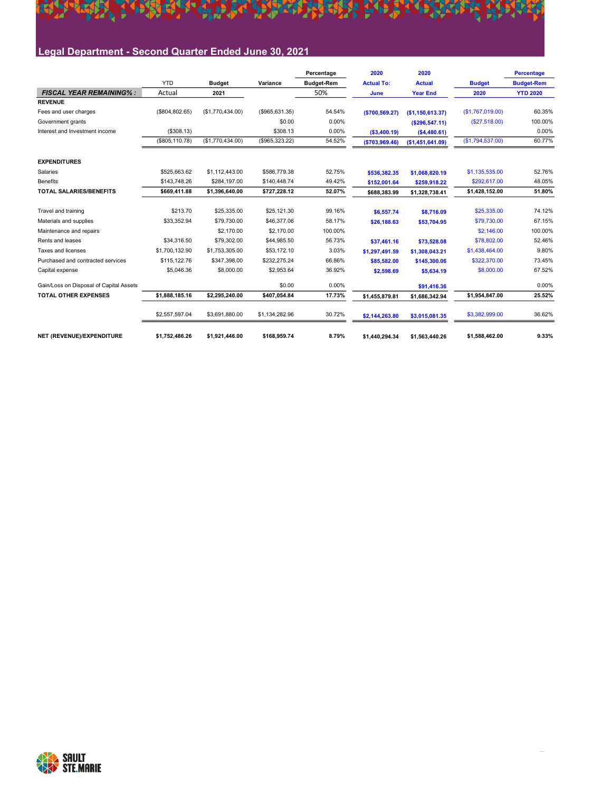

## Legal Department - Second Quarter Ended June 30, 2021

|                                         |                 |                  |                   | Percentage        | 2020              | 2020             |                    | <b>Percentage</b> |
|-----------------------------------------|-----------------|------------------|-------------------|-------------------|-------------------|------------------|--------------------|-------------------|
|                                         | <b>YTD</b>      | <b>Budget</b>    | Variance          | <b>Budget-Rem</b> | <b>Actual To:</b> | <b>Actual</b>    | <b>Budget</b>      | <b>Budget-Rem</b> |
| <b>FISCAL YEAR REMAINING%:</b>          | Actual          | 2021             |                   | 50%               | June              | <b>Year End</b>  | 2020               | <b>YTD 2020</b>   |
| <b>REVENUE</b>                          |                 |                  |                   |                   |                   |                  |                    |                   |
| Fees and user charges                   | (\$804, 802.65) | (\$1,770,434.00) | $($ \$965,631.35) | 54.54%            | ( \$700, 569.27)  | (\$1,150,613.37) | (S1, 767, 019, 00) | 60.35%            |
| Government grants                       |                 |                  | \$0.00            | 0.00%             |                   | (\$296,547.11)   | (\$27,518.00)      | 100.00%           |
| Interest and Investment income          | (\$308.13)      |                  | \$308.13          | 0.00%             | ( \$3,400.19)     | (\$4,480.61)     |                    | 0.00%             |
|                                         | (\$805, 110.78) | (\$1,770,434.00) | (\$965,323.22)    | 54.52%            | ( \$703, 969.46)  | (\$1,451,641.09) | (\$1,794,537.00)   | 60.77%            |
| <b>EXPENDITURES</b>                     |                 |                  |                   |                   |                   |                  |                    |                   |
| Salaries                                | \$525.663.62    | \$1.112.443.00   | \$586,779.38      | 52.75%            | \$536,382.35      | \$1,068,820.19   | \$1,135,535.00     | 52.76%            |
| <b>Benefits</b>                         | \$143,748.26    | \$284,197.00     | \$140,448.74      | 49.42%            | \$152,001.64      | \$259,918.22     | \$292,617.00       | 48.05%            |
| <b>TOTAL SALARIES/BENEFITS</b>          | \$669,411.88    | \$1,396,640.00   | \$727,228.12      | 52.07%            | \$688,383.99      | \$1,328,738.41   | \$1,428,152.00     | 51.80%            |
| Travel and training                     | \$213.70        | \$25,335.00      | \$25,121.30       | 99.16%            | \$6,557.74        | \$8,716.09       | \$25,335.00        | 74.12%            |
| Materials and supplies                  | \$33,352.94     | \$79,730.00      | \$46,377.06       | 58.17%            | \$26.188.63       | \$53,704.95      | \$79,730.00        | 67.15%            |
| Maintenance and repairs                 |                 | \$2,170.00       | \$2,170.00        | 100.00%           |                   |                  | \$2,146.00         | 100.00%           |
| Rents and leases                        | \$34,316.50     | \$79,302.00      | \$44,985.50       | 56.73%            | \$37.461.16       | \$73,528.08      | \$78,802.00        | 52.46%            |
| Taxes and licenses                      | \$1,700,132.90  | \$1,753,305.00   | \$53,172.10       | 3.03%             | \$1,297,491.59    | \$1,308,043.21   | \$1,438,464.00     | 9.80%             |
| Purchased and contracted services       | \$115.122.76    | \$347,398,00     | \$232.275.24      | 66.86%            | \$85,582.00       | \$145,300.06     | \$322,370.00       | 73.45%            |
| Capital expense                         | \$5,046.36      | \$8,000.00       | \$2,953.64        | 36.92%            | \$2,598.69        | \$5,634.19       | \$8,000.00         | 67.52%            |
| Gain/Loss on Disposal of Capital Assets |                 |                  | \$0.00            | 0.00%             |                   | \$91,416.36      |                    | 0.00%             |
| <b>TOTAL OTHER EXPENSES</b>             | \$1.888.185.16  | \$2.295.240.00   | \$407.054.84      | 17.73%            | \$1.455.879.81    | \$1,686,342.94   | \$1.954.847.00     | 25.52%            |
|                                         | \$2,557,597.04  | \$3,691,880.00   | \$1,134,282.96    | 30.72%            | \$2,144,263.80    | \$3,015,081.35   | \$3,382,999.00     | 36.62%            |
| NET (REVENUE)/EXPENDITURE               | \$1,752,486.26  | \$1,921,446.00   | \$168,959.74      | 8.79%             | \$1,440,294.34    | \$1,563,440.26   | \$1,588,462.00     | 9.33%             |

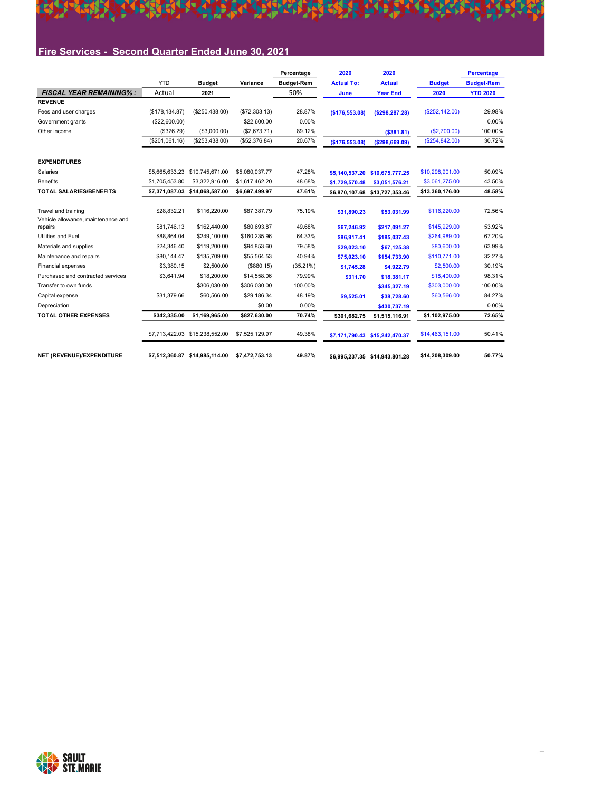

## Fire Services - Second Quarter Ended June 30, 2021

|                                                                      |                            |                                |                            | Percentage        | 2020                       | 2020                           |                              | <b>Percentage</b> |
|----------------------------------------------------------------------|----------------------------|--------------------------------|----------------------------|-------------------|----------------------------|--------------------------------|------------------------------|-------------------|
|                                                                      | <b>YTD</b>                 | <b>Budget</b>                  | Variance                   | <b>Budget-Rem</b> | <b>Actual To:</b>          | <b>Actual</b>                  | <b>Budget</b>                | <b>Budget-Rem</b> |
| <b>FISCAL YEAR REMAINING%:</b>                                       | Actual                     | 2021                           |                            | 50%               | June                       | <b>Year End</b>                | 2020                         | <b>YTD 2020</b>   |
| <b>REVENUE</b>                                                       |                            |                                |                            |                   |                            |                                |                              |                   |
| Fees and user charges                                                | (\$178, 134.87)            | (\$250,438.00)                 | (\$72,303.13)              | 28.87%            | (\$176,553.08)             | ( \$298, 287.28)               | (\$252,142.00)               | 29.98%            |
| Government grants                                                    | (\$22,600.00)              |                                | \$22,600.00                | 0.00%             |                            |                                |                              | 0.00%             |
| Other income                                                         | (\$326.29)                 | (\$3,000.00)                   | (\$2,673.71)               | 89.12%            |                            | (\$381.81)                     | (\$2,700.00)                 | 100.00%           |
|                                                                      | (\$201,061.16)             | (\$253,438.00)                 | (\$52,376.84)              | 20.67%            | (\$176,553.08)             | ( \$298, 669.09)               | (\$254,842.00)               | 30.72%            |
| <b>EXPENDITURES</b>                                                  |                            |                                |                            |                   |                            |                                |                              |                   |
| Salaries                                                             | \$5,665,633.23             | \$10,745,671.00                | \$5,080,037.77             | 47.28%            | \$5,140,537.20             | \$10,675,777.25                | \$10,298,901.00              | 50.09%            |
| <b>Benefits</b>                                                      | \$1,705,453.80             | \$3,322,916.00                 | \$1,617,462.20             | 48.68%            | \$1,729,570.48             | \$3,051,576.21                 | \$3.061.275.00               | 43.50%            |
| <b>TOTAL SALARIES/BENEFITS</b>                                       | \$7.371.087.03             | \$14,068,587.00                | \$6,697,499.97             | 47.61%            | \$6,870,107.68             | \$13,727,353.46                | \$13,360,176.00              | 48.58%            |
| Travel and training<br>Vehicle allowance, maintenance and<br>repairs | \$28.832.21<br>\$81,746.13 | \$116,220.00<br>\$162,440.00   | \$87,387.79<br>\$80,693.87 | 75.19%<br>49.68%  | \$31,890.23                | \$53,031.99                    | \$116,220.00<br>\$145,929.00 | 72.56%<br>53.92%  |
| Utilities and Fuel                                                   | \$88,864.04                | \$249.100.00                   | \$160,235.96               | 64.33%            | \$67,246.92                | \$217.091.27                   | \$264,989.00                 | 67.20%            |
| Materials and supplies                                               | \$24,346.40                | \$119,200.00                   | \$94,853.60                | 79.58%            | \$86,917.41                | \$185,037.43                   | \$80,600.00                  | 63.99%            |
| Maintenance and repairs                                              | \$80,144.47                | \$135,709.00                   | \$55,564.53                | 40.94%            | \$29,023.10<br>\$75,023.10 | \$67,125.38<br>\$154,733.90    | \$110,771.00                 | 32.27%            |
| Financial expenses                                                   | \$3,380.15                 | \$2,500.00                     | (\$880.15)                 | $(35.21\%)$       | \$1,745.28                 | \$4,922.79                     | \$2,500.00                   | 30.19%            |
| Purchased and contracted services                                    | \$3,641.94                 | \$18,200.00                    | \$14,558.06                | 79.99%            | \$311.70                   | \$18.381.17                    | \$18,400.00                  | 98.31%            |
| Transfer to own funds                                                |                            | \$306.030.00                   | \$306,030.00               | 100.00%           |                            | \$345,327.19                   | \$303,000.00                 | 100.00%           |
| Capital expense                                                      | \$31,379.66                | \$60,566.00                    | \$29,186.34                | 48.19%            | \$9,525.01                 | \$38,728.60                    | \$60,566.00                  | 84.27%            |
| Depreciation                                                         |                            |                                | \$0.00                     | 0.00%             |                            | \$430,737.19                   |                              | 0.00%             |
| <b>TOTAL OTHER EXPENSES</b>                                          | \$342,335.00               | \$1,169,965.00                 | \$827,630.00               | 70.74%            | \$301.682.75               | \$1,515,116.91                 | \$1,102,975.00               | 72.65%            |
|                                                                      |                            | \$7,713,422.03 \$15,238,552.00 | \$7,525,129.97             | 49.38%            |                            | \$7,171,790.43 \$15,242,470.37 | \$14,463,151.00              | 50.41%            |
| <b>NET (REVENUE)/EXPENDITURE</b>                                     |                            | \$7.512.360.87 \$14.985.114.00 | \$7.472.753.13             | 49.87%            |                            | \$6.995.237.35 \$14.943.801.28 | \$14,208,309.00              | 50.77%            |

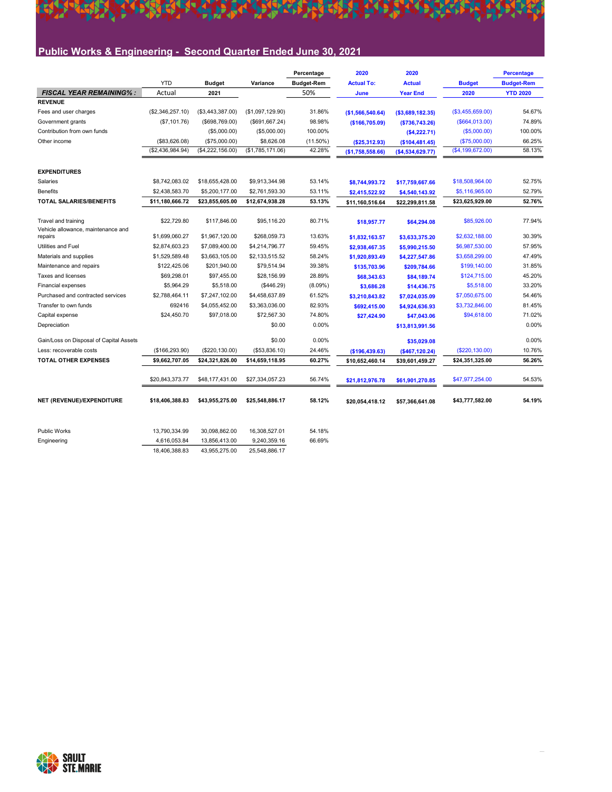## Public Works & Engineering - Second Quarter Ended June 30, 2021

A TARAPA GREGO KALENDER DA TA

|                                               |                  |                  |                  | Percentage        | 2020              | 2020              |                  | <b>Percentage</b> |
|-----------------------------------------------|------------------|------------------|------------------|-------------------|-------------------|-------------------|------------------|-------------------|
|                                               | <b>YTD</b>       | <b>Budget</b>    | Variance         | <b>Budget-Rem</b> | <b>Actual To:</b> | <b>Actual</b>     | <b>Budget</b>    | <b>Budget-Rem</b> |
| <b>FISCAL YEAR REMAINING%:</b>                | Actual           | 2021             |                  | 50%               | June              | <b>Year End</b>   | 2020             | <b>YTD 2020</b>   |
| <b>REVENUE</b>                                |                  |                  |                  |                   |                   |                   |                  |                   |
| Fees and user charges                         | (\$2,346,257.10) | (\$3,443,387.00) | (\$1,097,129.90) | 31.86%            | (\$1,566,540.64)  | ( \$3,689,182.35) | (\$3,455,659.00) | 54.67%            |
| Government grants                             | (\$7,101.76)     | (\$698,769.00)   | (\$691,667.24)   | 98.98%            | (\$166,705.09)    | ( \$736, 743.26)  | (\$664,013.00)   | 74.89%            |
| Contribution from own funds                   |                  | (\$5,000.00)     | (\$5,000.00)     | 100.00%           |                   | (\$4,222.71)      | (\$5,000.00)     | 100.00%           |
| Other income                                  | (\$83,626.08)    | (\$75,000.00)    | \$8,626.08       | $(11.50\%)$       | (\$25,312.93)     | (\$104,481.45)    | (\$75,000.00)    | 66.25%            |
|                                               | (\$2,436,984.94) | (\$4,222,156.00) | (\$1,785,171.06) | 42.28%            | (\$1,758,558.66)  | ( \$4,534,629.77) | (\$4,199,672.00) | 58.13%            |
| <b>EXPENDITURES</b>                           |                  |                  |                  |                   |                   |                   |                  |                   |
| Salaries                                      | \$8,742,083.02   | \$18,655,428.00  | \$9,913,344.98   | 53.14%            | \$8,744,993.72    | \$17,759,667.66   | \$18,508,964.00  | 52.75%            |
| <b>Benefits</b>                               | \$2,438,583.70   | \$5,200,177.00   | \$2,761,593.30   | 53.11%            | \$2,415,522.92    | \$4,540,143.92    | \$5,116,965.00   | 52.79%            |
| <b>TOTAL SALARIES/BENEFITS</b>                | \$11,180,666.72  | \$23,855,605.00  | \$12,674,938.28  | 53.13%            | \$11,160,516.64   | \$22,299,811.58   | \$23,625,929.00  | 52.76%            |
|                                               |                  |                  |                  |                   |                   |                   |                  |                   |
| Travel and training                           | \$22,729.80      | \$117,846.00     | \$95,116.20      | 80.71%            | \$18,957.77       | \$64,294.08       | \$85,926.00      | 77.94%            |
| Vehicle allowance, maintenance and<br>repairs | \$1,699,060.27   | \$1,967,120.00   | \$268,059.73     | 13.63%            | \$1,832,163.57    | \$3,633,375.20    | \$2,632,188.00   | 30.39%            |
| <b>Utilities and Fuel</b>                     | \$2,874,603.23   | \$7,089,400.00   | \$4,214,796.77   | 59.45%            | \$2,938,467.35    | \$5,990,215.50    | \$6,987,530.00   | 57.95%            |
| Materials and supplies                        | \$1,529,589.48   | \$3,663,105.00   | \$2,133,515.52   | 58.24%            | \$1,920,893.49    | \$4,227,547.86    | \$3,658,299.00   | 47.49%            |
| Maintenance and repairs                       | \$122,425.06     | \$201,940.00     | \$79,514.94      | 39.38%            | \$135,703.96      | \$209,784.66      | \$199,140.00     | 31.85%            |
| Taxes and licenses                            | \$69,298.01      | \$97,455.00      | \$28.156.99      | 28.89%            | \$68,343.63       | \$84,189.74       | \$124,715.00     | 45.20%            |
| Financial expenses                            | \$5,964.29       | \$5,518.00       | (\$446.29)       | $(8.09\%)$        | \$3,686.28        | \$14,436.75       | \$5,518.00       | 33.20%            |
| Purchased and contracted services             | \$2,788,464.11   | \$7,247,102.00   | \$4,458,637.89   | 61.52%            | \$3,210,843.82    | \$7,024,035.09    | \$7,050,675.00   | 54.46%            |
| Transfer to own funds                         | 692416           | \$4,055,452.00   | \$3,363,036.00   | 82.93%            | \$692,415.00      | \$4,924,636.93    | \$3,732,846.00   | 81.45%            |
| Capital expense                               | \$24,450.70      | \$97,018.00      | \$72,567.30      | 74.80%            | \$27,424.90       | \$47,043.06       | \$94,618.00      | 71.02%            |
| Depreciation                                  |                  |                  | \$0.00           | 0.00%             |                   | \$13,813,991.56   |                  | 0.00%             |
| Gain/Loss on Disposal of Capital Assets       |                  |                  | \$0.00           | 0.00%             |                   | \$35,029.08       |                  | 0.00%             |
| Less: recoverable costs                       | (\$166, 293.90)  | (\$220, 130.00)  | (\$53,836.10)    | 24.46%            | (\$196,439.63)    | ( \$467, 120.24)  | (\$220, 130.00)  | 10.76%            |
| <b>TOTAL OTHER EXPENSES</b>                   | \$9,662,707.05   | \$24,321,826.00  | \$14,659,118.95  | 60.27%            | \$10,652,460.14   | \$39,601,459.27   | \$24,351,325.00  | 56.26%            |
|                                               |                  |                  |                  |                   |                   |                   |                  |                   |
|                                               | \$20,843,373.77  | \$48,177,431.00  | \$27,334,057.23  | 56.74%            | \$21,812,976.78   | \$61,901,270.85   | \$47,977,254.00  | 54.53%            |
| NET (REVENUE)/EXPENDITURE                     | \$18,406,388.83  | \$43,955,275.00  | \$25,548,886.17  | 58.12%            | \$20,054,418.12   | \$57,366,641.08   | \$43,777,582.00  | 54.19%            |
| <b>Public Works</b>                           | 13.790.334.99    | 30.098.862.00    | 16,308,527.01    | 54.18%            |                   |                   |                  |                   |
|                                               |                  |                  |                  |                   |                   |                   |                  |                   |
| Engineering                                   | 4,616,053.84     | 13,856,413.00    | 9,240,359.16     | 66.69%            |                   |                   |                  |                   |
|                                               | 18.406.388.83    | 43,955,275.00    | 25.548.886.17    |                   |                   |                   |                  |                   |



**SAKI**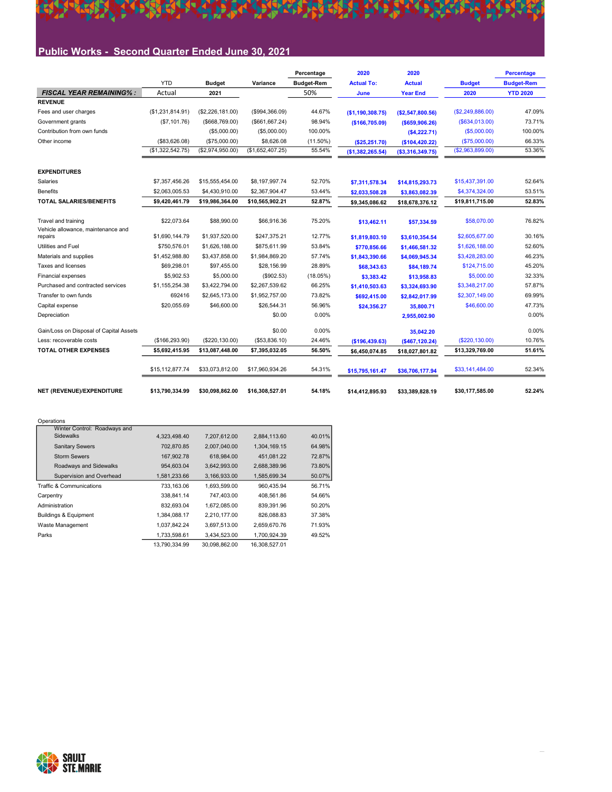## Public Works - Second Quarter Ended June 30, 2021

今

**TERRIT RIPLE** 

|                                                           |                  |                  |                  | Percentage        | 2020              | 2020              |                  | <b>Percentage</b> |
|-----------------------------------------------------------|------------------|------------------|------------------|-------------------|-------------------|-------------------|------------------|-------------------|
|                                                           | <b>YTD</b>       | <b>Budget</b>    | Variance         | <b>Budget-Rem</b> | <b>Actual To:</b> | <b>Actual</b>     | <b>Budget</b>    | <b>Budget-Rem</b> |
| <b>FISCAL YEAR REMAINING%:</b>                            | Actual           | 2021             |                  | 50%               | June              | <b>Year End</b>   | 2020             | <b>YTD 2020</b>   |
| <b>REVENUE</b>                                            |                  |                  |                  |                   |                   |                   |                  |                   |
| Fees and user charges                                     | (\$1,231,814.91) | (\$2,226,181.00) | (\$994,366.09)   | 44.67%            | (\$1,190,308.75)  | (\$2,547,800.56)  | (\$2,249,886.00) | 47.09%            |
| Government grants                                         | (\$7,101.76)     | ( \$668, 769.00) | (\$661,667.24)   | 98.94%            | (\$166,705.09)    | $($ \$659,906.26) | ( \$634, 013.00) | 73.71%            |
| Contribution from own funds                               |                  | (\$5,000.00)     | (\$5,000.00)     | 100.00%           |                   | (\$4,222.71)      | $($ \$5,000.00)  | 100.00%           |
| Other income                                              | (\$83,626.08)    | (\$75,000.00)    | \$8,626.08       | $(11.50\%)$       | (\$25,251.70)     | (\$104, 420.22)   | (\$75,000.00)    | 66.33%            |
|                                                           | (\$1,322,542.75) | (\$2,974,950.00) | (\$1,652,407.25) | 55.54%            | (\$1,382,265.54)  | (\$3,316,349.75)  | (\$2,963,899.00) | 53.36%            |
| <b>EXPENDITURES</b>                                       |                  |                  |                  |                   |                   |                   |                  |                   |
| Salaries                                                  | \$7,357,456.26   | \$15,555,454.00  | \$8,197,997.74   | 52.70%            | \$7,311,578.34    | \$14,815,293.73   | \$15,437,391.00  | 52.64%            |
| <b>Benefits</b>                                           | \$2,063,005.53   | \$4,430,910.00   | \$2,367,904.47   | 53.44%            | \$2,033,508.28    | \$3,863,082.39    | \$4,374,324.00   | 53.51%            |
| <b>TOTAL SALARIES/BENEFITS</b>                            | \$9,420,461.79   | \$19,986,364.00  | \$10,565,902.21  | 52.87%            | \$9,345,086.62    | \$18,678,376.12   | \$19,811,715.00  | 52.83%            |
| Travel and training<br>Vehicle allowance, maintenance and | \$22,073.64      | \$88,990.00      | \$66,916.36      | 75.20%            | \$13,462.11       | \$57,334.59       | \$58,070.00      | 76.82%            |
| repairs                                                   | \$1,690,144.79   | \$1,937,520.00   | \$247,375.21     | 12.77%            | \$1,819,803.10    | \$3,610,354.54    | \$2,605,677.00   | 30.16%            |
| <b>Utilities and Fuel</b>                                 | \$750,576.01     | \$1,626,188.00   | \$875.611.99     | 53.84%            | \$770,856.66      | \$1,466,581.32    | \$1,626,188.00   | 52.60%            |
| Materials and supplies                                    | \$1,452,988.80   | \$3.437.858.00   | \$1.984.869.20   | 57.74%            | \$1,843,390.66    | \$4,069,945.34    | \$3,428,283.00   | 46.23%            |
| Taxes and licenses                                        | \$69,298.01      | \$97,455.00      | \$28.156.99      | 28.89%            | \$68,343.63       | \$84,189.74       | \$124.715.00     | 45.20%            |
| <b>Financial expenses</b>                                 | \$5.902.53       | \$5,000.00       | (\$902.53)       | $(18.05\%)$       | \$3,383.42        | \$13,958.83       | \$5,000.00       | 32.33%            |
| Purchased and contracted services                         | \$1,155,254.38   | \$3,422,794.00   | \$2,267,539.62   | 66.25%            | \$1,410,503.63    | \$3,324,693.90    | \$3,348,217.00   | 57.87%            |
| Transfer to own funds                                     | 692416           | \$2,645,173.00   | \$1,952,757.00   | 73.82%            | \$692,415.00      | \$2,842,017.99    | \$2,307,149.00   | 69.99%            |
| Capital expense                                           | \$20,055.69      | \$46,600.00      | \$26,544.31      | 56.96%            | \$24,356.27       | 35,800.71         | \$46,600.00      | 47.73%            |
| Depreciation                                              |                  |                  | \$0.00           | 0.00%             |                   | 2,955,002.90      |                  | 0.00%             |
| Gain/Loss on Disposal of Capital Assets                   |                  |                  | \$0.00           | 0.00%             |                   | 35,042.20         |                  | 0.00%             |
| Less: recoverable costs                                   | (\$166,293.90)   | (\$220, 130.00)  | (\$53,836.10)    | 24.46%            | (\$196,439.63)    | ( \$467, 120.24)  | (\$220,130.00)   | 10.76%            |
| <b>TOTAL OTHER EXPENSES</b>                               | \$5,692,415.95   | \$13,087,448.00  | \$7,395,032.05   | 56.50%            | \$6,450,074.85    | \$18,027,801.82   | \$13,329,769.00  | 51.61%            |
|                                                           | \$15,112,877.74  | \$33,073,812.00  | \$17,960,934.26  | 54.31%            | \$15,795,161.47   | \$36,706,177.94   | \$33,141,484.00  | 52.34%            |
| NET (REVENUE)/EXPENDITURE                                 | \$13.790.334.99  | \$30.098.862.00  | \$16.308.527.01  | 54.18%            | \$14,412,895.93   | \$33,389,828.19   | \$30.177.585.00  | 52.24%            |

**HEAR AN ARTISTS** 

**EART** 

#### **Operations**

| Winter Control: Roadways and     |               |               |               |        |
|----------------------------------|---------------|---------------|---------------|--------|
| <b>Sidewalks</b>                 | 4.323.498.40  | 7.207.612.00  | 2,884,113.60  | 40.01% |
| <b>Sanitary Sewers</b>           | 702,870.85    | 2,007,040.00  | 1,304,169.15  | 64.98% |
| <b>Storm Sewers</b>              | 167.902.78    | 618.984.00    | 451.081.22    | 72.87% |
| Roadways and Sidewalks           | 954.603.04    | 3.642.993.00  | 2.688.389.96  | 73.80% |
| Supervision and Overhead         | 1,581,233.66  | 3,166,933.00  | 1,585,699.34  | 50.07% |
| Traffic & Communications         | 733.163.06    | 1.693.599.00  | 960.435.94    | 56.71% |
| Carpentry                        | 338.841.14    | 747.403.00    | 408.561.86    | 54.66% |
| Administration                   | 832.693.04    | 1.672.085.00  | 839.391.96    | 50.20% |
| <b>Buildings &amp; Equipment</b> | 1.384.088.17  | 2,210,177.00  | 826.088.83    | 37.38% |
| Waste Management                 | 1.037.842.24  | 3.697.513.00  | 2.659.670.76  | 71.93% |
| Parks                            | 1,733,598.61  | 3.434.523.00  | 1,700,924.39  | 49.52% |
|                                  | 13.790.334.99 | 30.098.862.00 | 16.308.527.01 |        |

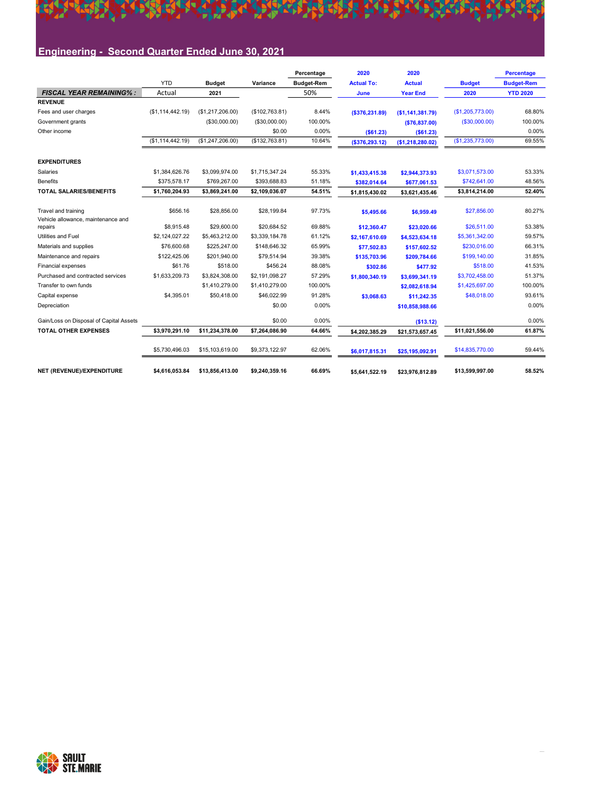#### SEARCH CLEARER **THE REAL PROPER DAREA** KK **THE** 55

## Engineering - Second Quarter Ended June 30, 2021

|                                               |                  |                  |                | Percentage        | 2020              | 2020             |                  | Percentage        |
|-----------------------------------------------|------------------|------------------|----------------|-------------------|-------------------|------------------|------------------|-------------------|
|                                               | <b>YTD</b>       | <b>Budget</b>    | Variance       | <b>Budget-Rem</b> | <b>Actual To:</b> | <b>Actual</b>    | <b>Budget</b>    | <b>Budget-Rem</b> |
| <b>FISCAL YEAR REMAINING%:</b>                | Actual           | 2021             |                | 50%               | June              | <b>Year End</b>  | 2020             | <b>YTD 2020</b>   |
| <b>REVENUE</b>                                |                  |                  |                |                   |                   |                  |                  |                   |
| Fees and user charges                         | (\$1,114,442.19) | (\$1,217,206.00) | (\$102,763.81) | 8.44%             | ( \$376, 231.89)  | (\$1,141,381.79) | (\$1,205,773.00) | 68.80%            |
| Government grants                             |                  | (\$30,000.00)    | (\$30,000.00)  | 100.00%           |                   | ( \$76, 837.00)  | (\$30,000.00)    | 100.00%           |
| Other income                                  |                  |                  | \$0.00         | 0.00%             | (\$61.23)         | (\$61.23)        |                  | 0.00%             |
|                                               | (\$1,114,442.19) | (\$1,247,206.00) | (\$132,763.81) | 10.64%            | (\$376,293.12)    | (\$1,218,280.02) | (\$1,235,773.00) | 69.55%            |
| <b>EXPENDITURES</b>                           |                  |                  |                |                   |                   |                  |                  |                   |
| Salaries                                      | \$1.384.626.76   | \$3.099.974.00   | \$1,715,347.24 | 55.33%            | \$1,433,415.38    | \$2,944,373.93   | \$3.071.573.00   | 53.33%            |
| <b>Benefits</b>                               | \$375.578.17     | \$769,267.00     | \$393.688.83   | 51.18%            | \$382,014.64      | \$677,061.53     | \$742.641.00     | 48.56%            |
| <b>TOTAL SALARIES/BENEFITS</b>                | \$1.760.204.93   | \$3.869.241.00   | \$2.109.036.07 | 54.51%            | \$1,815,430.02    | \$3.621.435.46   | \$3,814,214.00   | 52.40%            |
| Travel and training                           | \$656.16         | \$28,856.00      | \$28,199.84    | 97.73%            | \$5,495.66        | \$6,959.49       | \$27,856.00      | 80.27%            |
| Vehicle allowance, maintenance and<br>repairs | \$8,915.48       | \$29,600.00      | \$20.684.52    | 69.88%            | \$12,360.47       | \$23,020.66      | \$26,511.00      | 53.38%            |
| Utilities and Fuel                            | \$2,124,027.22   | \$5,463,212.00   | \$3,339,184.78 | 61.12%            | \$2,167,610.69    | \$4,523,634.18   | \$5,361,342.00   | 59.57%            |
| Materials and supplies                        | \$76,600.68      | \$225,247.00     | \$148,646.32   | 65.99%            | \$77.502.83       | \$157.602.52     | \$230.016.00     | 66.31%            |
| Maintenance and repairs                       | \$122.425.06     | \$201.940.00     | \$79.514.94    | 39.38%            | \$135,703.96      | \$209.784.66     | \$199,140.00     | 31.85%            |
| Financial expenses                            | \$61.76          | \$518.00         | \$456.24       | 88.08%            | \$302.86          | \$477.92         | \$518.00         | 41.53%            |
| Purchased and contracted services             | \$1,633,209.73   | \$3.824.308.00   | \$2.191.098.27 | 57.29%            | \$1,800,340.19    | \$3,699.341.19   | \$3,702,458.00   | 51.37%            |
| Transfer to own funds                         |                  | \$1,410,279.00   | \$1,410,279.00 | 100.00%           |                   | \$2,082,618.94   | \$1,425,697.00   | 100.00%           |
| Capital expense                               | \$4,395.01       | \$50,418.00      | \$46,022.99    | 91.28%            | \$3,068.63        | \$11,242.35      | \$48,018.00      | 93.61%            |
| Depreciation                                  |                  |                  | \$0.00         | 0.00%             |                   | \$10,858,988.66  |                  | 0.00%             |
| Gain/Loss on Disposal of Capital Assets       |                  |                  | \$0.00         | 0.00%             |                   | (\$13.12)        |                  | 0.00%             |
| <b>TOTAL OTHER EXPENSES</b>                   | \$3,970,291.10   | \$11,234,378.00  | \$7,264,086.90 | 64.66%            | \$4,202,385.29    | \$21,573,657.45  | \$11,021,556.00  | 61.87%            |
|                                               | \$5,730,496.03   | \$15,103,619.00  | \$9,373,122.97 | 62.06%            | \$6,017,815.31    | \$25,195,092.91  | \$14,835,770.00  | 59.44%            |
| NET (REVENUE)/EXPENDITURE                     | \$4.616.053.84   | \$13,856,413.00  | \$9,240,359.16 | 66.69%            | \$5.641.522.19    | \$23,976,812.89  | \$13,599,997.00  | 58.52%            |

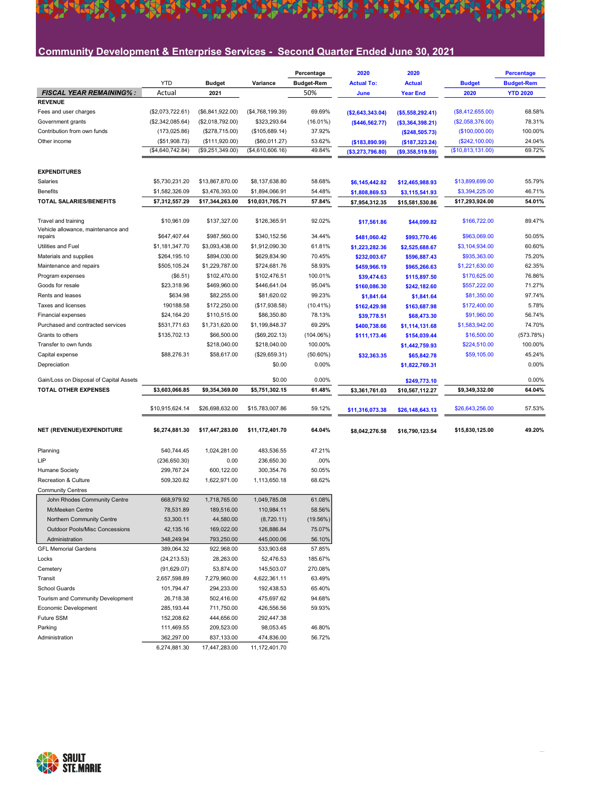## Community Development & Enterprise Services - Second Quarter Ended June 30, 2021

**A TERRA DA CORRECTA DE PORTA CORRECTA DE PORTA DE PORTA DE PORTA DE PORTA DE PORTA DE PORTA DE PORTA DE PORTA** 

|                                                           |                  |                  |                  | Percentage        | 2020              | 2020              |                   | <b>Percentage</b> |
|-----------------------------------------------------------|------------------|------------------|------------------|-------------------|-------------------|-------------------|-------------------|-------------------|
|                                                           | <b>YTD</b>       | <b>Budget</b>    | Variance         | <b>Budget-Rem</b> | <b>Actual To:</b> | <b>Actual</b>     | <b>Budget</b>     | <b>Budget-Rem</b> |
| <b>FISCAL YEAR REMAINING%:</b>                            | Actual           | 2021             |                  | 50%               | June              | <b>Year End</b>   | 2020              | <b>YTD 2020</b>   |
| <b>REVENUE</b>                                            |                  |                  |                  |                   |                   |                   |                   |                   |
| Fees and user charges                                     | (\$2,073,722.61) | (\$6,841,922.00) | (\$4,768,199.39) | 69.69%            | (\$2,643,343.04)  | ( \$5,558,292.41) | (\$8,412,655.00)  | 68.58%            |
| Government grants                                         | (\$2,342,085.64) | (\$2,018,792.00) | \$323,293.64     | (16.01%)          | (\$446,562.77)    | ( \$3,364,398.21) | (\$2,058,376.00)  | 78.31%            |
| Contribution from own funds                               | (173, 025.86)    | (\$278,715.00)   | (\$105,689.14)   | 37.92%            |                   | (\$248,505.73)    | (\$100,000.00)    | 100.00%           |
| Other income                                              | (\$51,908.73)    | (\$111,920.00)   | (\$60,011.27)    | 53.62%            | (\$183,890.99)    | ( \$187, 323.24)  | (\$242,100.00)    | 24.04%            |
|                                                           | (\$4,640,742.84) | (\$9,251,349.00) | (\$4,610,606.16) | 49.84%            | ( \$3,273,796.80) | (\$9,358,519.59)  | (\$10,813,131.00) | 69.72%            |
| <b>EXPENDITURES</b>                                       |                  |                  |                  |                   |                   |                   |                   |                   |
| Salaries                                                  | \$5,730,231.20   | \$13,867,870.00  | \$8,137,638.80   | 58.68%            | \$6,145,442.82    | \$12,465,988.93   | \$13,899,699.00   | 55.79%            |
| <b>Benefits</b>                                           | \$1,582,326.09   | \$3,476,393.00   | \$1,894,066.91   | 54.48%            |                   |                   | \$3,394,225.00    | 46.71%            |
| TOTAL SALARIES/BENEFITS                                   | \$7,312,557.29   | \$17,344,263.00  | \$10,031,705.71  | 57.84%            | \$1,808,869.53    | \$3,115,541.93    | \$17,293,924.00   | 54.01%            |
|                                                           |                  |                  |                  |                   | \$7,954,312.35    | \$15,581,530.86   |                   |                   |
| Travel and training<br>Vehicle allowance, maintenance and | \$10,961.09      | \$137,327.00     | \$126,365.91     | 92.02%            | \$17,561.86       | \$44,099.82       | \$166,722.00      | 89.47%            |
| repairs                                                   | \$647,407.44     | \$987,560.00     | \$340,152.56     | 34.44%            | \$481,060.42      | \$993,770.46      | \$963,069.00      | 50.05%            |
| Utilities and Fuel                                        | \$1,181,347.70   | \$3,093,438.00   | \$1,912,090.30   | 61.81%            | \$1,223,282.36    | \$2,525,688.67    | \$3,104,934.00    | 60.60%            |
| Materials and supplies                                    | \$264,195.10     | \$894,030.00     | \$629,834.90     | 70.45%            | \$232,003.67      | \$596,887.43      | \$935,363.00      | 75.20%            |
| Maintenance and repairs                                   | \$505,105.24     | \$1,229,787.00   | \$724,681.76     | 58.93%            | \$459,966.19      | \$965,266.63      | \$1,221,630.00    | 62.35%            |
| Program expenses                                          | (\$6.51)         | \$102,470.00     | \$102,476.51     | 100.01%           | \$39,474.63       | \$115,897.50      | \$170,625.00      | 76.86%            |
| Goods for resale                                          | \$23,318.96      | \$469,960.00     | \$446,641.04     | 95.04%            | \$160,086.30      | \$242,182.60      | \$557,222.00      | 71.27%            |
| Rents and leases                                          | \$634.98         | \$82,255.00      | \$81,620.02      | 99.23%            | \$1,841.64        | \$1,841.64        | \$81,350.00       | 97.74%            |
| Taxes and licenses                                        | 190188.58        | \$172,250.00     | (\$17,938.58)    | $(10.41\%)$       | \$162,429.98      | \$163,687.98      | \$172,400.00      | 5.78%             |
| <b>Financial expenses</b>                                 | \$24,164.20      | \$110,515.00     | \$86,350.80      | 78.13%            | \$39,778.51       | \$68,473.30       | \$91,960.00       | 56.74%            |
| Purchased and contracted services                         | \$531,771.63     | \$1,731,620.00   | \$1,199,848.37   | 69.29%            | \$400,738.66      | \$1,114,131.68    | \$1,583,942.00    | 74.70%            |
| Grants to others                                          | \$135,702.13     | \$66,500.00      | (\$69,202.13)    | $(104.06\%)$      | \$111,173.46      | \$154,039.44      | \$16,500.00       | (573.78%)         |
| Transfer to own funds                                     |                  | \$218,040.00     | \$218,040.00     | 100.00%           |                   | \$1,442,759.93    | \$224,510.00      | 100.00%           |
| Capital expense                                           | \$88,276.31      | \$58,617.00      | (\$29,659.31)    | $(50.60\%)$       | \$32,363.35       | \$65,842.78       | \$59,105.00       | 45.24%            |
| Depreciation                                              |                  |                  | \$0.00           | 0.00%             |                   | \$1,822,769.31    |                   | 0.00%             |
|                                                           |                  |                  |                  |                   |                   |                   |                   |                   |
| Gain/Loss on Disposal of Capital Assets                   |                  |                  | \$0.00           | 0.00%             |                   | \$249,773.10      |                   | 0.00%             |
| <b>TOTAL OTHER EXPENSES</b>                               | \$3,603,066.85   | \$9,354,369.00   | \$5,751,302.15   | 61.48%            | \$3,361,761.03    | \$10,567,112.27   | \$9,349,332.00    | 64.04%            |
|                                                           | \$10,915,624.14  | \$26,698,632.00  | \$15,783,007.86  | 59.12%            | \$11,316,073.38   | \$26,148,643.13   | \$26,643,256.00   | 57.53%            |
| NET (REVENUE)/EXPENDITURE                                 | \$6,274,881.30   | \$17,447,283.00  | \$11,172,401.70  | 64.04%            | \$8,042,276.58    | \$16,790,123.54   | \$15,830,125.00   | 49.20%            |
|                                                           |                  |                  |                  |                   |                   |                   |                   |                   |
| Planning                                                  | 540,744.45       | 1,024,281.00     | 483,536.55       | 47.21%            |                   |                   |                   |                   |
| LIP                                                       | (236, 650.30)    | 0.00             | 236,650.30       | .00%              |                   |                   |                   |                   |
| <b>Humane Society</b>                                     | 299,767.24       | 600,122.00       | 300,354.76       | 50.05%            |                   |                   |                   |                   |
| Recreation & Culture                                      | 509,320.82       | 1,622,971.00     | 1,113,650.18     | 68.62%            |                   |                   |                   |                   |
| <b>Community Centres</b>                                  |                  |                  |                  |                   |                   |                   |                   |                   |
| John Rhodes Community Centre                              | 668,979.92       | 1,718,765.00     | 1,049,785.08     | 61.08%            |                   |                   |                   |                   |
| <b>McMeeken Centre</b>                                    | 78.531.89        | 189,516.00       | 110,984.11       | 58.56%            |                   |                   |                   |                   |
| Northern Community Centre                                 | 53,300.11        | 44,580.00        | (8,720.11)       | (19.56%)          |                   |                   |                   |                   |
| <b>Outdoor Pools/Misc Concessions</b>                     | 42,135.16        | 169,022.00       | 126,886.84       | 75.07%            |                   |                   |                   |                   |
| Administration                                            | 348,249.94       | 793,250.00       | 445,000.06       | 56.10%            |                   |                   |                   |                   |
| <b>GFL Memorial Gardens</b>                               | 389,064.32       | 922,968.00       | 533,903.68       | 57.85%            |                   |                   |                   |                   |
| Locks                                                     | (24, 213.53)     | 28,263.00        | 52,476.53        | 185.67%           |                   |                   |                   |                   |
| Cemetery                                                  | (91, 629.07)     | 53,874.00        | 145,503.07       | 270.08%           |                   |                   |                   |                   |
| Transit                                                   | 2,657,598.89     | 7,279,960.00     | 4,622,361.11     | 63.49%            |                   |                   |                   |                   |
| School Guards                                             | 101,794.47       | 294,233.00       | 192,438.53       | 65.40%            |                   |                   |                   |                   |
| Tourism and Community Development                         | 26,718.38        | 502,416.00       | 475,697.62       | 94.68%            |                   |                   |                   |                   |
| Economic Development                                      | 285, 193.44      | 711,750.00       | 426,556.56       | 59.93%            |                   |                   |                   |                   |
| Future SSM                                                | 152,208.62       | 444,656.00       | 292,447.38       |                   |                   |                   |                   |                   |
| Parking                                                   | 111,469.55       | 209,523.00       | 98,053.45        | 46.80%            |                   |                   |                   |                   |
| Administration                                            | 362,297.00       | 837,133.00       | 474,836.00       | 56.72%            |                   |                   |                   |                   |
|                                                           | 6,274,881.30     | 17,447,283.00    | 11,172,401.70    |                   |                   |                   |                   |                   |



外科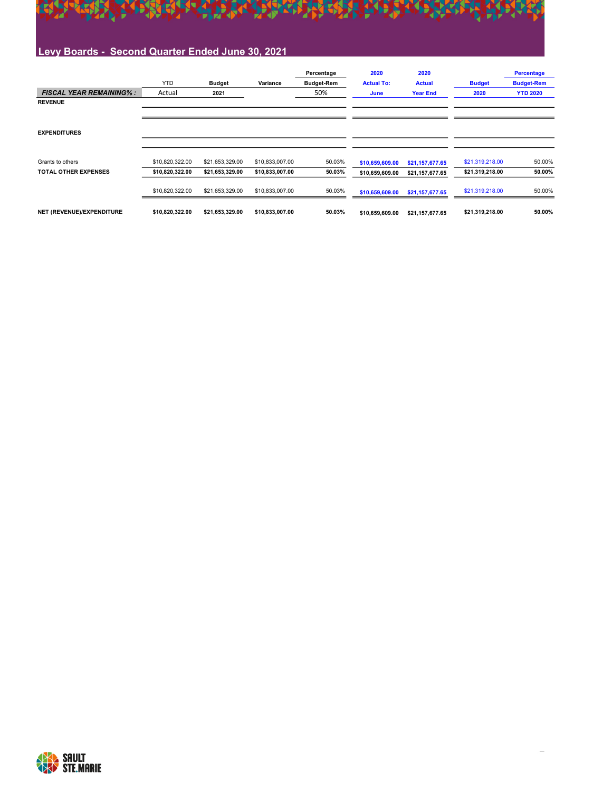

## Levy Boards - Second Quarter Ended June 30, 2021

|                                |                 |                 |                 | Percentage        | 2020              | 2020            |                 | <b>Percentage</b> |
|--------------------------------|-----------------|-----------------|-----------------|-------------------|-------------------|-----------------|-----------------|-------------------|
|                                | <b>YTD</b>      | <b>Budget</b>   | Variance        | <b>Budget-Rem</b> | <b>Actual To:</b> | <b>Actual</b>   | <b>Budget</b>   | <b>Budget-Rem</b> |
| <b>FISCAL YEAR REMAINING%:</b> | Actual          | 2021            |                 | 50%               | June              | <b>Year End</b> | 2020            | <b>YTD 2020</b>   |
| <b>REVENUE</b>                 |                 |                 |                 |                   |                   |                 |                 |                   |
|                                |                 |                 |                 |                   |                   |                 |                 |                   |
|                                |                 |                 |                 |                   |                   |                 |                 |                   |
| <b>EXPENDITURES</b>            |                 |                 |                 |                   |                   |                 |                 |                   |
|                                |                 |                 |                 |                   |                   |                 |                 |                   |
|                                |                 |                 |                 |                   |                   |                 |                 |                   |
| Grants to others               | \$10,820,322.00 | \$21,653,329.00 | \$10,833,007.00 | 50.03%            | \$10,659,609.00   | \$21,157,677.65 | \$21,319,218.00 | 50.00%            |
| <b>TOTAL OTHER EXPENSES</b>    | \$10,820,322.00 | \$21,653,329.00 | \$10,833,007.00 | 50.03%            | \$10,659,609.00   | \$21,157,677.65 | \$21,319,218.00 | 50.00%            |
|                                | \$10,820,322.00 | \$21,653,329.00 | \$10,833,007.00 | 50.03%            | \$10,659,609.00   | \$21,157,677.65 | \$21,319,218.00 | 50.00%            |
|                                |                 |                 |                 |                   |                   |                 |                 |                   |
| NET (REVENUE)/EXPENDITURE      | \$10,820,322.00 | \$21,653,329.00 | \$10,833,007.00 | 50.03%            | \$10.659.609.00   | \$21,157,677.65 | \$21,319,218.00 | 50.00%            |

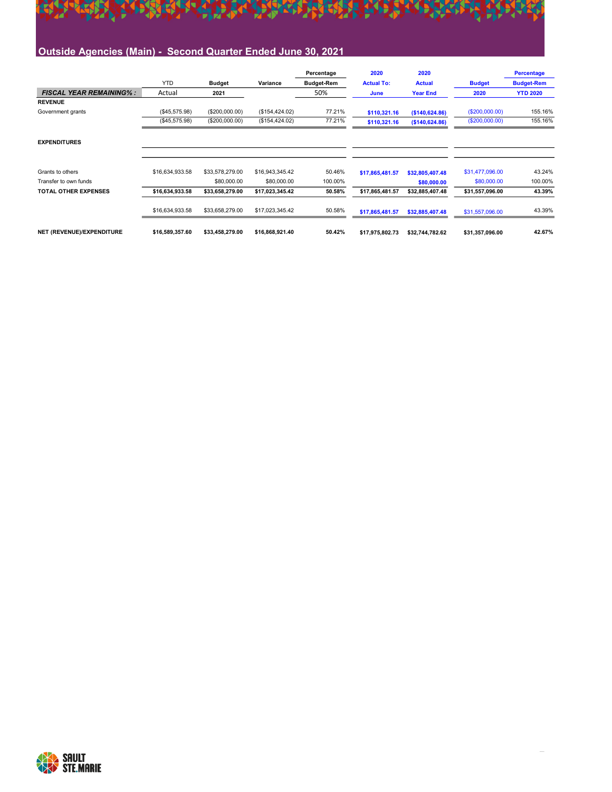

|                                |                 |                 |                 | Percentage        | 2020              | 2020            |                 | <b>Percentage</b> |
|--------------------------------|-----------------|-----------------|-----------------|-------------------|-------------------|-----------------|-----------------|-------------------|
|                                | <b>YTD</b>      | <b>Budget</b>   | Variance        | <b>Budget-Rem</b> | <b>Actual To:</b> | <b>Actual</b>   | <b>Budget</b>   | <b>Budget-Rem</b> |
| <b>FISCAL YEAR REMAINING%:</b> | Actual          | 2021            |                 | 50%               | June              | <b>Year End</b> | 2020            | <b>YTD 2020</b>   |
| <b>REVENUE</b>                 |                 |                 |                 |                   |                   |                 |                 |                   |
| Government grants              | (\$45,575.98)   | (\$200,000.00)  | (\$154, 424.02) | 77.21%            | \$110,321.16      | (\$140,624.86)  | (\$200,000.00)  | 155.16%           |
|                                | (\$45,575.98)   | (\$200,000.00)  | (\$154, 424.02) | 77.21%            | \$110,321.16      | (\$140,624.86)  | (\$200,000.00)  | 155.16%           |
| <b>EXPENDITURES</b>            |                 |                 |                 |                   |                   |                 |                 |                   |
| Grants to others               | \$16,634,933.58 | \$33,578,279.00 | \$16,943,345.42 | 50.46%            | \$17,865,481.57   | \$32,805,407.48 | \$31,477,096.00 | 43.24%            |
| Transfer to own funds          |                 | \$80,000.00     | \$80,000.00     | 100.00%           |                   | \$80,000.00     | \$80,000.00     | 100.00%           |
| <b>TOTAL OTHER EXPENSES</b>    | \$16,634,933.58 | \$33,658,279.00 | \$17,023,345.42 | 50.58%            | \$17,865,481.57   | \$32,885,407.48 | \$31,557,096.00 | 43.39%            |
|                                | \$16,634,933.58 | \$33,658,279.00 | \$17,023,345.42 | 50.58%            | \$17,865,481.57   | \$32,885,407.48 | \$31,557,096.00 | 43.39%            |
| NET (REVENUE)/EXPENDITURE      | \$16,589,357.60 | \$33,458,279.00 | \$16,868,921.40 | 50.42%            | \$17,975,802.73   | \$32,744,782.62 | \$31,357,096.00 | 42.67%            |

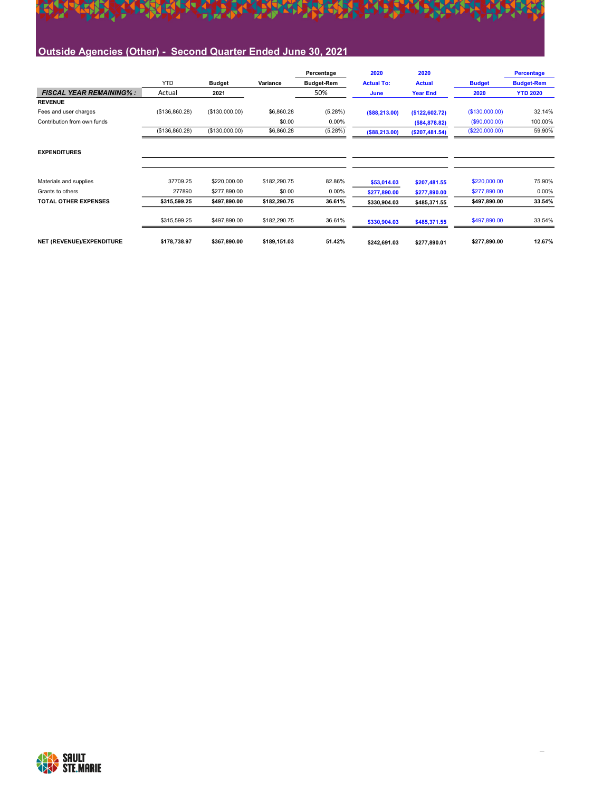

|                                |                |                |              | Percentage        | 2020              | 2020            |                | <b>Percentage</b> |
|--------------------------------|----------------|----------------|--------------|-------------------|-------------------|-----------------|----------------|-------------------|
|                                | <b>YTD</b>     | <b>Budget</b>  | Variance     | <b>Budget-Rem</b> | <b>Actual To:</b> | <b>Actual</b>   | <b>Budget</b>  | <b>Budget-Rem</b> |
| <b>FISCAL YEAR REMAINING%:</b> | Actual         | 2021           |              | 50%               | June              | <b>Year End</b> | 2020           | <b>YTD 2020</b>   |
| <b>REVENUE</b>                 |                |                |              |                   |                   |                 |                |                   |
| Fees and user charges          | (\$136,860.28) | (\$130,000.00) | \$6,860.28   | (5.28%)           | ( \$88, 213.00)   | (\$122,602.72)  | (\$130,000.00) | 32.14%            |
| Contribution from own funds    |                |                | \$0.00       | $0.00\%$          |                   | (\$84,878.82)   | (S90,000.00)   | 100.00%           |
|                                | (\$136,860.28) | (\$130,000.00) | \$6,860.28   | (5.28%)           | ( \$88, 213.00)   | ( \$207,481.54) | (\$220,000.00) | 59.90%            |
| <b>EXPENDITURES</b>            |                |                |              |                   |                   |                 |                |                   |
| Materials and supplies         | 37709.25       | \$220,000.00   | \$182,290.75 | 82.86%            | \$53,014.03       | \$207,481.55    | \$220,000.00   | 75.90%            |
| Grants to others               | 277890         | \$277,890.00   | \$0.00       | 0.00%             | \$277,890.00      | \$277,890.00    | \$277,890.00   | 0.00%             |
| <b>TOTAL OTHER EXPENSES</b>    | \$315,599.25   | \$497,890.00   | \$182,290.75 | 36.61%            | \$330,904.03      | \$485,371.55    | \$497,890.00   | 33.54%            |
|                                | \$315,599.25   | \$497,890.00   | \$182,290.75 | 36.61%            | \$330,904.03      | \$485,371.55    | \$497,890.00   | 33.54%            |
| NET (REVENUE)/EXPENDITURE      | \$178,738.97   | \$367,890.00   | \$189,151.03 | 51.42%            | \$242,691.03      | \$277,890.01    | \$277,890.00   | 12.67%            |

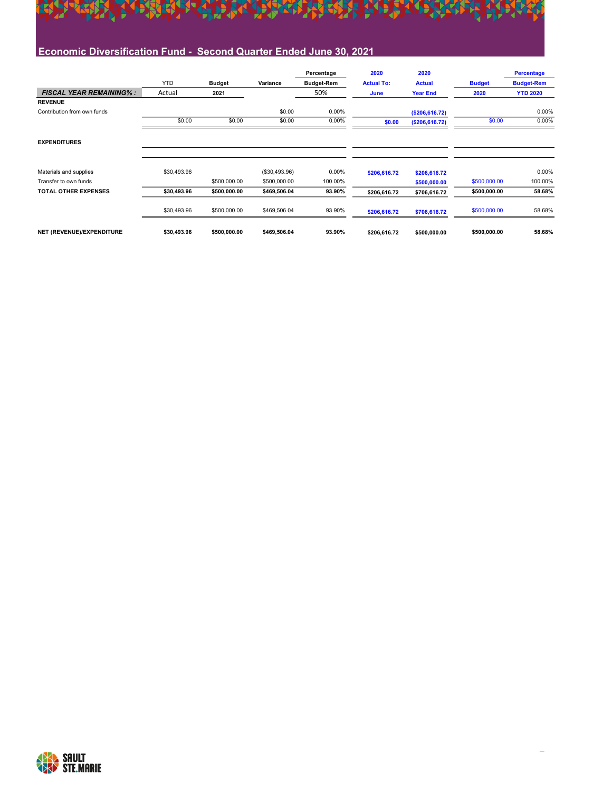

|                                |             |               |               | Percentage        | 2020              | 2020             |               | <b>Percentage</b> |
|--------------------------------|-------------|---------------|---------------|-------------------|-------------------|------------------|---------------|-------------------|
|                                | <b>YTD</b>  | <b>Budget</b> | Variance      | <b>Budget-Rem</b> | <b>Actual To:</b> | <b>Actual</b>    | <b>Budget</b> | <b>Budget-Rem</b> |
| <b>FISCAL YEAR REMAINING%:</b> | Actual      | 2021          |               | 50%               | June              | <b>Year End</b>  | 2020          | <b>YTD 2020</b>   |
| <b>REVENUE</b>                 |             |               |               |                   |                   |                  |               |                   |
| Contribution from own funds    |             |               | \$0.00        | 0.00%             |                   | ( \$206, 616.72) |               | 0.00%             |
|                                | \$0.00      | \$0.00        | \$0.00        | 0.00%             | \$0.00            | (\$206, 616.72)  | \$0.00        | 0.00%             |
| <b>EXPENDITURES</b>            |             |               |               |                   |                   |                  |               |                   |
| Materials and supplies         | \$30,493.96 |               | (\$30,493.96) | 0.00%             | \$206,616.72      | \$206,616.72     |               | 0.00%             |
| Transfer to own funds          |             | \$500,000.00  | \$500,000.00  | 100.00%           |                   | \$500,000.00     | \$500,000.00  | 100.00%           |
| <b>TOTAL OTHER EXPENSES</b>    | \$30.493.96 | \$500,000.00  | \$469,506.04  | 93.90%            | \$206,616.72      | \$706,616.72     | \$500,000.00  | 58.68%            |
|                                | \$30,493.96 | \$500,000.00  | \$469,506.04  | 93.90%            | \$206,616.72      | \$706,616.72     | \$500,000.00  | 58.68%            |
| NET (REVENUE)/EXPENDITURE      | \$30,493.96 | \$500,000.00  | \$469,506.04  | 93.90%            | \$206,616.72      | \$500,000.00     | \$500,000.00  | 58.68%            |

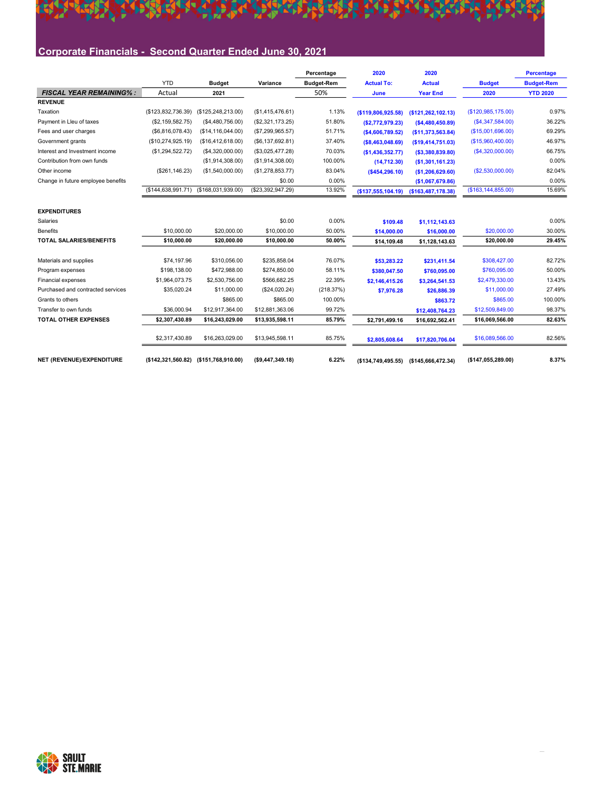# A TARA TA GALARA DAGA TARA TA TA TARA **SEREE**

## Corporate Financials - Second Quarter Ended June 30, 2021

|                                    |                    |                                       |                   | Percentage        | 2020                | 2020               |                      | <b>Percentage</b> |
|------------------------------------|--------------------|---------------------------------------|-------------------|-------------------|---------------------|--------------------|----------------------|-------------------|
|                                    | <b>YTD</b>         | <b>Budget</b>                         | Variance          | <b>Budget-Rem</b> | <b>Actual To:</b>   | <b>Actual</b>      | <b>Budget</b>        | <b>Budget-Rem</b> |
| <b>FISCAL YEAR REMAINING%:</b>     | Actual             | 2021                                  |                   | 50%               | June                | <b>Year End</b>    | 2020                 | <b>YTD 2020</b>   |
| <b>REVENUE</b>                     |                    |                                       |                   |                   |                     |                    |                      |                   |
| Taxation                           | (\$123,832,736.39) | (\$125, 248, 213.00)                  | (\$1,415,476.61)  | 1.13%             | (\$119,806,925.58)  | (\$121,262,102.13) | (\$120,985,175.00)   | 0.97%             |
| Payment in Lleu of taxes           | (\$2,159,582.75)   | (\$4,480,756.00)                      | (\$2,321,173.25)  | 51.80%            | (\$2,772,979.23)    | (\$4,480,450.89)   | (S4, 347, 584.00)    | 36.22%            |
| Fees and user charges              | (\$6,816,078.43)   | (\$14, 116, 044.00)                   | (\$7,299,965.57)  | 51.71%            | ( \$4,606,789.52)   | (\$11,373,563.84)  | (\$15,001,696.00)    | 69.29%            |
| Government grants                  | (\$10,274,925.19)  | (\$16,412,618.00)                     | (\$6,137,692.81)  | 37.40%            | ( \$8,463,048.69)   | ( \$19,414,751.03) | (S15,960,400.00)     | 46.97%            |
| Interest and Investment income     | (\$1,294,522.72)   | (\$4,320,000.00)                      | (\$3,025,477.28)  | 70.03%            | (\$1,436,352.77)    | ( \$3,380,839.80)  | (S4, 320, 000.00)    | 66.75%            |
| Contribution from own funds        |                    | (\$1,914,308.00)                      | (\$1,914,308.00)  | 100.00%           | (14, 712.30)        | (\$1,301,161.23)   |                      | 0.00%             |
| Other income                       | (\$261, 146.23)    | (\$1,540,000.00)                      | (\$1,278,853.77)  | 83.04%            | (\$454,296.10)      | (\$1,206,629.60)   | (\$2,530,000.00)     | 82.04%            |
| Change in future employee benefits |                    |                                       | \$0.00            | 0.00%             |                     | (\$1,067,679.86)   |                      | 0.00%             |
|                                    |                    | (\$144,638,991.71) (\$168,031,939.00) | (\$23,392,947.29) | 13.92%            | ( \$137,555,104.19) | (\$163,487,178.38) | (\$163, 144, 855.00) | 15.69%            |
|                                    |                    |                                       |                   |                   |                     |                    |                      |                   |
| <b>EXPENDITURES</b>                |                    |                                       |                   |                   |                     |                    |                      |                   |
| Salaries                           |                    |                                       | \$0.00            | 0.00%             | \$109.48            | \$1,112,143.63     |                      | 0.00%             |
| <b>Benefits</b>                    | \$10,000.00        | \$20,000.00                           | \$10,000.00       | 50.00%            | \$14,000.00         | \$16,000.00        | \$20,000.00          | 30.00%            |
| <b>TOTAL SALARIES/BENEFITS</b>     | \$10,000.00        | \$20,000.00                           | \$10,000.00       | 50.00%            | \$14.109.48         | \$1,128,143.63     | \$20.000.00          | 29.45%            |
|                                    |                    |                                       |                   |                   |                     |                    |                      |                   |
| Materials and supplies             | \$74,197.96        | \$310,056.00                          | \$235,858.04      | 76.07%            | \$53,283.22         | \$231,411.54       | \$308,427.00         | 82.72%            |
| Program expenses                   | \$198,138,00       | \$472,988.00                          | \$274,850.00      | 58.11%            | \$380,047.50        | \$760,095.00       | \$760,095.00         | 50.00%            |
| Financial expenses                 | \$1,964,073.75     | \$2,530,756.00                        | \$566,682.25      | 22.39%            | \$2,146,415.26      | \$3,264,541.53     | \$2,479,330.00       | 13.43%            |
| Purchased and contracted services  | \$35,020.24        | \$11,000.00                           | (\$24,020.24)     | (218.37%)         | \$7,976.28          | \$26,886.39        | \$11,000.00          | 27.49%            |
| Grants to others                   |                    | \$865.00                              | \$865.00          | 100.00%           |                     | \$863.72           | \$865.00             | 100.00%           |
| Transfer to own funds              | \$36,000.94        | \$12,917,364.00                       | \$12,881,363.06   | 99.72%            |                     | \$12,408,764.23    | \$12,509,849.00      | 98.37%            |
| <b>TOTAL OTHER EXPENSES</b>        | \$2,307,430.89     | \$16,243,029.00                       | \$13,935,598.11   | 85.79%            | \$2,791,499.16      | \$16,692,562.41    | \$16,069,566.00      | 82.63%            |
|                                    | \$2,317,430.89     | \$16,263,029.00                       | \$13,945,598.11   | 85.75%            | \$2,805,608.64      | \$17,820,706.04    | \$16,089,566.00      | 82.56%            |
| NET (REVENUE)/EXPENDITURE          |                    | (\$142,321,560.82) (\$151,768,910.00) | (\$9,447,349.18)  | 6.22%             | ( \$134,749,495.55) | (\$145,666,472.34) | (\$147,055,289.00)   | 8.37%             |